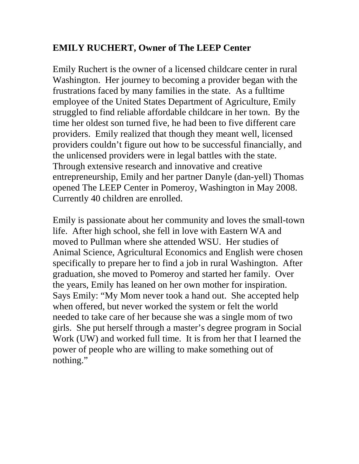## **EMILY RUCHERT, Owner of The LEEP Center**

Emily Ruchert is the owner of a licensed childcare center in rural Washington. Her journey to becoming a provider began with the frustrations faced by many families in the state. As a fulltime employee of the United States Department of Agriculture, Emily struggled to find reliable affordable childcare in her town. By the time her oldest son turned five, he had been to five different care providers. Emily realized that though they meant well, licensed providers couldn't figure out how to be successful financially, and the unlicensed providers were in legal battles with the state. Through extensive research and innovative and creative entrepreneurship, Emily and her partner Danyle (dan-yell) Thomas opened The LEEP Center in Pomeroy, Washington in May 2008. Currently 40 children are enrolled.

Emily is passionate about her community and loves the small-town life. After high school, she fell in love with Eastern WA and moved to Pullman where she attended WSU. Her studies of Animal Science, Agricultural Economics and English were chosen specifically to prepare her to find a job in rural Washington. After graduation, she moved to Pomeroy and started her family. Over the years, Emily has leaned on her own mother for inspiration. Says Emily: "My Mom never took a hand out. She accepted help when offered, but never worked the system or felt the world needed to take care of her because she was a single mom of two girls. She put herself through a master's degree program in Social Work (UW) and worked full time. It is from her that I learned the power of people who are willing to make something out of nothing."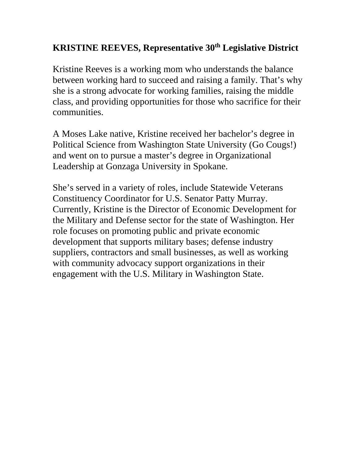## **KRISTINE REEVES, Representative 30th Legislative District**

Kristine Reeves is a working mom who understands the balance between working hard to succeed and raising a family. That's why she is a strong advocate for working families, raising the middle class, and providing opportunities for those who sacrifice for their communities.

A Moses Lake native, Kristine received her bachelor's degree in Political Science from Washington State University (Go Cougs!) and went on to pursue a master's degree in Organizational Leadership at Gonzaga University in Spokane.

She's served in a variety of roles, include Statewide Veterans Constituency Coordinator for U.S. Senator Patty Murray. Currently, Kristine is the Director of Economic Development for the Military and Defense sector for the state of Washington. Her role focuses on promoting public and private economic development that supports military bases; defense industry suppliers, contractors and small businesses, as well as working with community advocacy support organizations in their engagement with the U.S. Military in Washington State.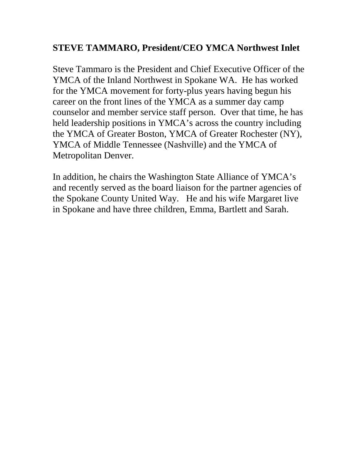## **STEVE TAMMARO, President/CEO YMCA Northwest Inlet**

Steve Tammaro is the President and Chief Executive Officer of the YMCA of the Inland Northwest in Spokane WA. He has worked for the YMCA movement for forty-plus years having begun his career on the front lines of the YMCA as a summer day camp counselor and member service staff person. Over that time, he has held leadership positions in YMCA's across the country including the YMCA of Greater Boston, YMCA of Greater Rochester (NY), YMCA of Middle Tennessee (Nashville) and the YMCA of Metropolitan Denver.

In addition, he chairs the Washington State Alliance of YMCA's and recently served as the board liaison for the partner agencies of the Spokane County United Way. He and his wife Margaret live in Spokane and have three children, Emma, Bartlett and Sarah.